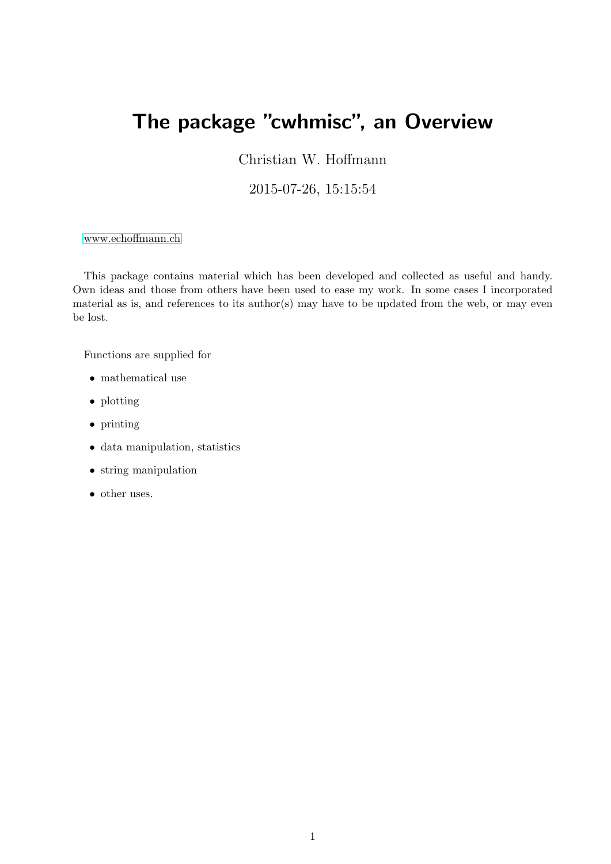## The package "cwhmisc", an Overview

Christian W. Hoffmann

2015-07-26, 15:15:54

[www.echoffmann.ch](<christian@echoffmann.ch)

This package contains material which has been developed and collected as useful and handy. Own ideas and those from others have been used to ease my work. In some cases I incorporated material as is, and references to its author(s) may have to be updated from the web, or may even be lost.

Functions are supplied for

- mathematical use
- plotting
- printing
- data manipulation, statistics
- string manipulation
- other uses.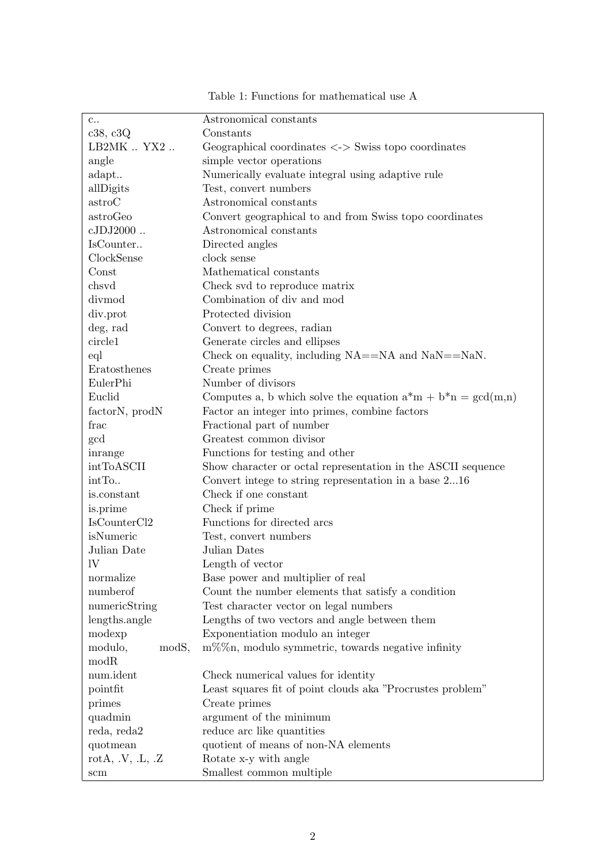| $c$ .                                   | Astronomical constants                                              |
|-----------------------------------------|---------------------------------------------------------------------|
| c38, c3Q                                | Constants                                                           |
| LB2MK  YX2                              | Geographical coordinates $\langle - \rangle$ Swiss topo coordinates |
| angle                                   | simple vector operations                                            |
| adapt                                   | Numerically evaluate integral using adaptive rule                   |
| allDigits                               | Test, convert numbers                                               |
| astroC                                  | Astronomical constants                                              |
| astroGeo                                | Convert geographical to and from Swiss topo coordinates             |
| $cJDJ2000$                              | Astronomical constants                                              |
| IsCounter                               | Directed angles                                                     |
| ClockSense                              | clock sense                                                         |
| Const                                   | Mathematical constants                                              |
| chsvd                                   | Check svd to reproduce matrix                                       |
| divmod                                  | Combination of div and mod                                          |
| div.prot                                | Protected division                                                  |
| deg, rad                                | Convert to degrees, radian                                          |
| circle1                                 | Generate circles and ellipses                                       |
| eql                                     | Check on equality, including NA==NA and NaN==NaN.                   |
| Eratosthenes                            | Create primes                                                       |
| EulerPhi                                | Number of divisors                                                  |
| Euclid                                  | Computes a, b which solve the equation $a^*m + b^*n = \gcd(m,n)$    |
| factor <sub>N</sub> , prod <sub>N</sub> | Factor an integer into primes, combine factors                      |
| frac                                    | Fractional part of number                                           |
| gcd                                     | Greatest common divisor                                             |
| inrange                                 | Functions for testing and other                                     |
| intToASCII                              | Show character or octal representation in the ASCII sequence        |
| intTo                                   | Convert intege to string representation in a base 216               |
| is.constant                             | Check if one constant                                               |
| is.prime                                | Check if prime                                                      |
| IsCounterCl <sub>2</sub>                | Functions for directed arcs                                         |
| isNumeric                               | Test, convert numbers                                               |
| Julian Date                             | Julian Dates                                                        |
| 1V                                      | Length of vector                                                    |
| normalize                               | Base power and multiplier of real                                   |
| numberof                                | Count the number elements that satisfy a condition                  |
| numericString                           | Test character vector on legal numbers                              |
| lengths.angle                           | Lengths of two vectors and angle between them                       |
| modexp                                  | Exponentiation modulo an integer                                    |
| modS,<br>modulo,                        | $m\%$ %n, modulo symmetric, towards negative infinity               |
| modR                                    |                                                                     |
| num.ident                               | Check numerical values for identity                                 |
| pointfit                                | Least squares fit of point clouds aka "Procrustes problem"          |
| primes                                  | Create primes                                                       |
| quadmin                                 | argument of the minimum                                             |
| reda, reda2                             | reduce arc like quantities                                          |
| quotmean                                | quotient of means of non-NA elements                                |
| rotA, $.V, L, Z$                        | Rotate x-y with angle                                               |
| $\operatorname{scm}$                    | Smallest common multiple                                            |

Table 1: Functions for mathematical use A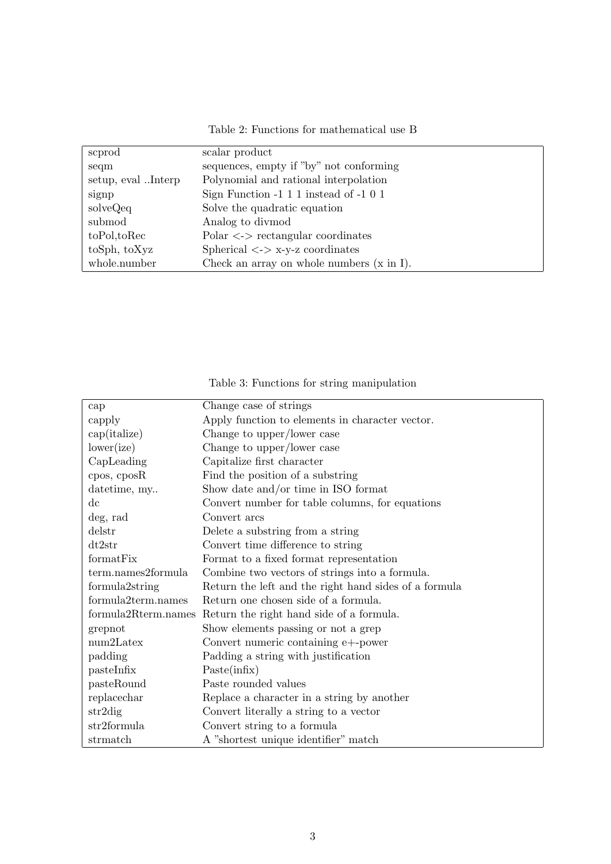| Table 2: Functions for mathematical use B |  |
|-------------------------------------------|--|
|-------------------------------------------|--|

| scprod               | scalar product                                  |
|----------------------|-------------------------------------------------|
| seqm                 | sequences, empty if "by" not conforming         |
| setup, evalInterp    | Polynomial and rational interpolation           |
| signp                | Sign Function $-1$ 1 1 instead of $-1$ 0 1      |
| solveQeq             | Solve the quadratic equation                    |
| submod               | Analog to divmod                                |
| $to$ Pol, $to$ $Rec$ | $Polar \leq \geq$ rectangular coordinates       |
| toSph, toXyz         | Spherical $\langle - \rangle$ x-y-z coordinates |
| whole.number         | Check an array on whole numbers $(x \in I)$ .   |

Table 3: Functions for string manipulation

| cap                    | Change case of strings                                |
|------------------------|-------------------------------------------------------|
| capply                 | Apply function to elements in character vector.       |
| cap(italize)           | Change to upper/lower case                            |
| lower(ize)             | Change to upper/lower case                            |
| CapLeading             | Capitalize first character                            |
| $cpos$ , $cposR$       | Find the position of a substring                      |
| datetime, my           | Show date and/or time in ISO format                   |
| $\mathrm{d}\mathrm{c}$ | Convert number for table columns, for equations       |
| deg, rad               | Convert arcs                                          |
| delstr                 | Delete a substring from a string                      |
| dt2str                 | Convert time difference to string                     |
| formatFix              | Format to a fixed format representation               |
| term.names2formula     | Combine two vectors of strings into a formula.        |
| formula2string         | Return the left and the right hand sides of a formula |
| formula2term.names     | Return one chosen side of a formula.                  |
| formula2Rterm.names    | Return the right hand side of a formula.              |
| grepnot                | Show elements passing or not a grep                   |
| $num2$ Latex           | Convert numeric containing e+-power                   |
| padding                | Padding a string with justification                   |
| pastelnfix             | Paste(infix)                                          |
| pasteRound             | Paste rounded values                                  |
| replacechar            | Replace a character in a string by another            |
| str2dig                | Convert literally a string to a vector                |
| str2 formula           | Convert string to a formula                           |
| strmatch               | A "shortest unique identifier" match                  |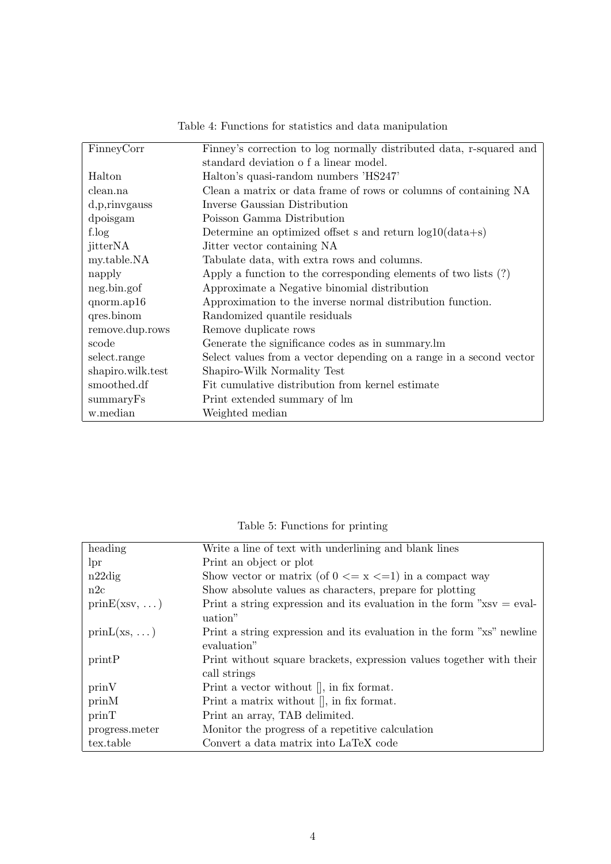| FinneyCorr        | Finney's correction to log normally distributed data, r-squared and |
|-------------------|---------------------------------------------------------------------|
|                   | standard deviation of a linear model.                               |
| Halton            | Halton's quasi-random numbers 'HS247'                               |
| clean.na          | Clean a matrix or data frame of rows or columns of containing NA    |
| d, p, rinvgauss   | Inverse Gaussian Distribution                                       |
| dpoisgam          | Poisson Gamma Distribution                                          |
| f.log             | Determine an optimized offset s and return $log 10(data+s)$         |
| jitterNA          | Jitter vector containing NA                                         |
| my.table.NA       | Tabulate data, with extra rows and columns.                         |
| napply            | Apply a function to the corresponding elements of two lists $(?)$   |
| neg.bin.gof       | Approximate a Negative binomial distribution                        |
| $qnorm.$ ap16     | Approximation to the inverse normal distribution function.          |
| qres.binom        | Randomized quantile residuals                                       |
| remove.dup.rows   | Remove duplicate rows                                               |
| scode             | Generate the significance codes as in summary.lm                    |
| select.range      | Select values from a vector depending on a range in a second vector |
| shapiro.wilk.test | Shapiro-Wilk Normality Test                                         |
| smoothed.df       | Fit cumulative distribution from kernel estimate                    |
| summaryFs         | Print extended summary of lm                                        |
| w.median          | Weighted median                                                     |

Table 4: Functions for statistics and data manipulation

Table 5: Functions for printing

| heading              | Write a line of text with underlining and blank lines                                     |
|----------------------|-------------------------------------------------------------------------------------------|
| lpr                  | Print an object or plot                                                                   |
| $n22\mathrm{dig}$    | Show vector or matrix (of $0 \le x \le 1$ ) in a compact way                              |
| n2c                  | Show absolute values as characters, prepare for plotting                                  |
| $prinE(xsv, \ldots)$ | Print a string expression and its evaluation in the form $\gamma x$ sv = eval-<br>uation" |
| $prinL(xs, \ldots)$  | Print a string expression and its evaluation in the form "xs" newline<br>evaluation"      |
| printP               | Print without square brackets, expression values together with their<br>call strings      |
| prinV                | Print a vector without $\parallel$ , in fix format.                                       |
| prinM                | Print a matrix without $\parallel$ , in fix format.                                       |
| prinT                | Print an array, TAB delimited.                                                            |
| progress.meter       | Monitor the progress of a repetitive calculation                                          |
| tex.table            | Convert a data matrix into LaTeX code                                                     |